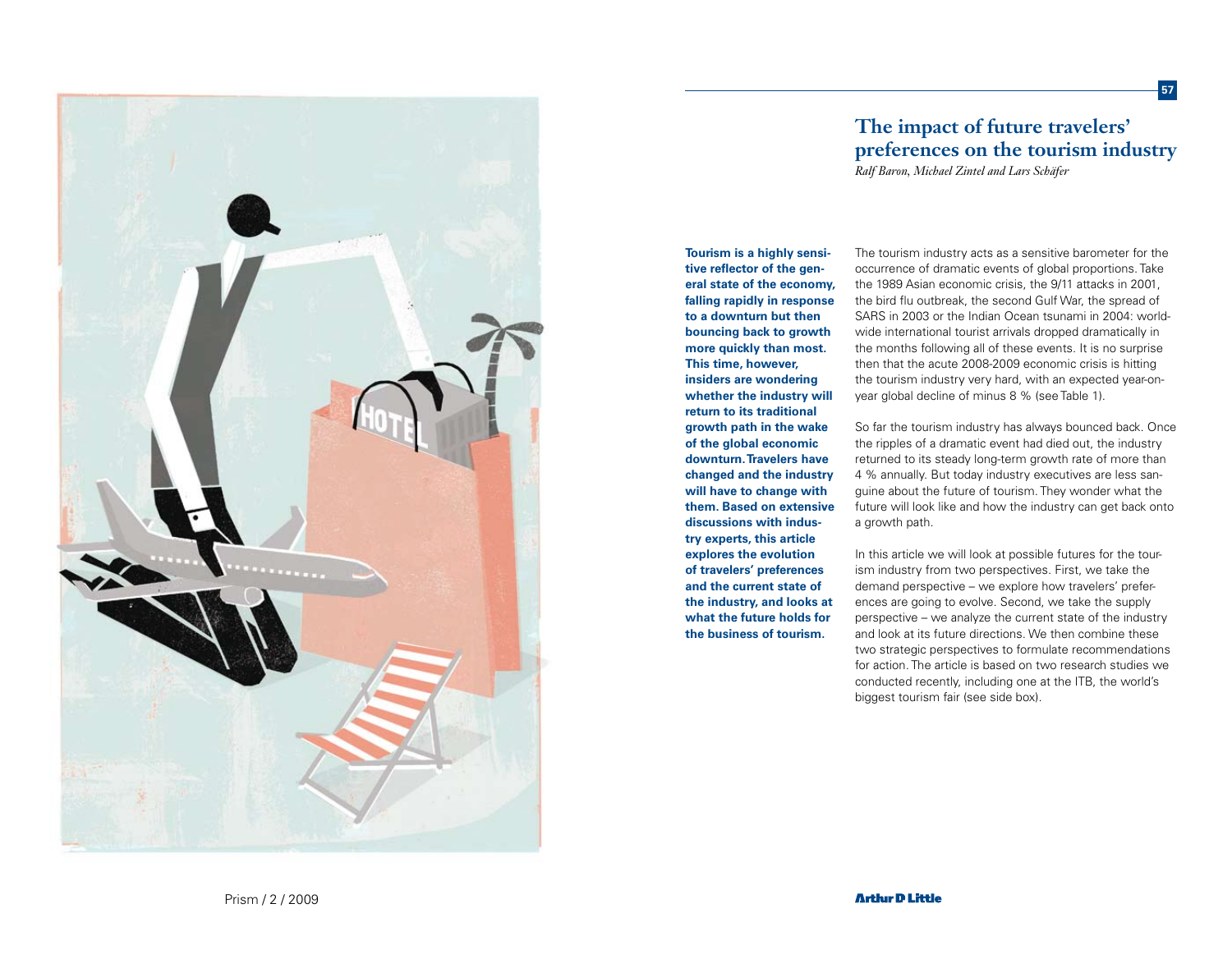

# **The impact of future travelers' preferences on the tourism industry**

**57**

*Ralf Baron, Michael Zintel and Lars Schäfer*

**Tourism is a highly sensitive reflector of the general state of the economy, falling rapidly in response to a downturn but then bouncing back to growth more quickly than most. This time, however, insiders are wondering whether the industry will return to its traditional growth path in the wake of the global economic downturn. Travelers have changed and the industry will have to change with them. Based on extensive discussions with industry experts, this article explores the evolution of travelers' preferences and the current state of the industry, and looks at what the future holds for the business of tourism.** 

The tourism industry acts as a sensitive barometer for the occurrence of dramatic events of global proportions. Take the 1989 Asian economic crisis, the 9/11 attacks in 2001, the bird flu outbreak, the second Gulf War, the spread of SARS in 2003 or the Indian Ocean tsunami in 2004: worldwide international tourist arrivals dropped dramatically in the months following all of these events. It is no surprise then that the acute 2008-2009 economic crisis is hitting the tourism industry very hard, with an expected year-onyear global decline of minus 8 % (see Table 1).

So far the tourism industry has always bounced back. Once the ripples of a dramatic event had died out, the industry returned to its steady long-term growth rate of more than 4 % annually. But today industry executives are less sanguine about the future of tourism. They wonder what the future will look like and how the industry can get back onto a growth path.

In this article we will look at possible futures for the tourism industry from two perspectives. First, we take the demand perspective – we explore how travelers' preferences are going to evolve. Second, we take the supply perspective – we analyze the current state of the industry and look at its future directions. We then combine these two strategic perspectives to formulate recommendations for action. The article is based on two research studies we conducted recently, including one at the ITB, the world's biggest tourism fair (see side box).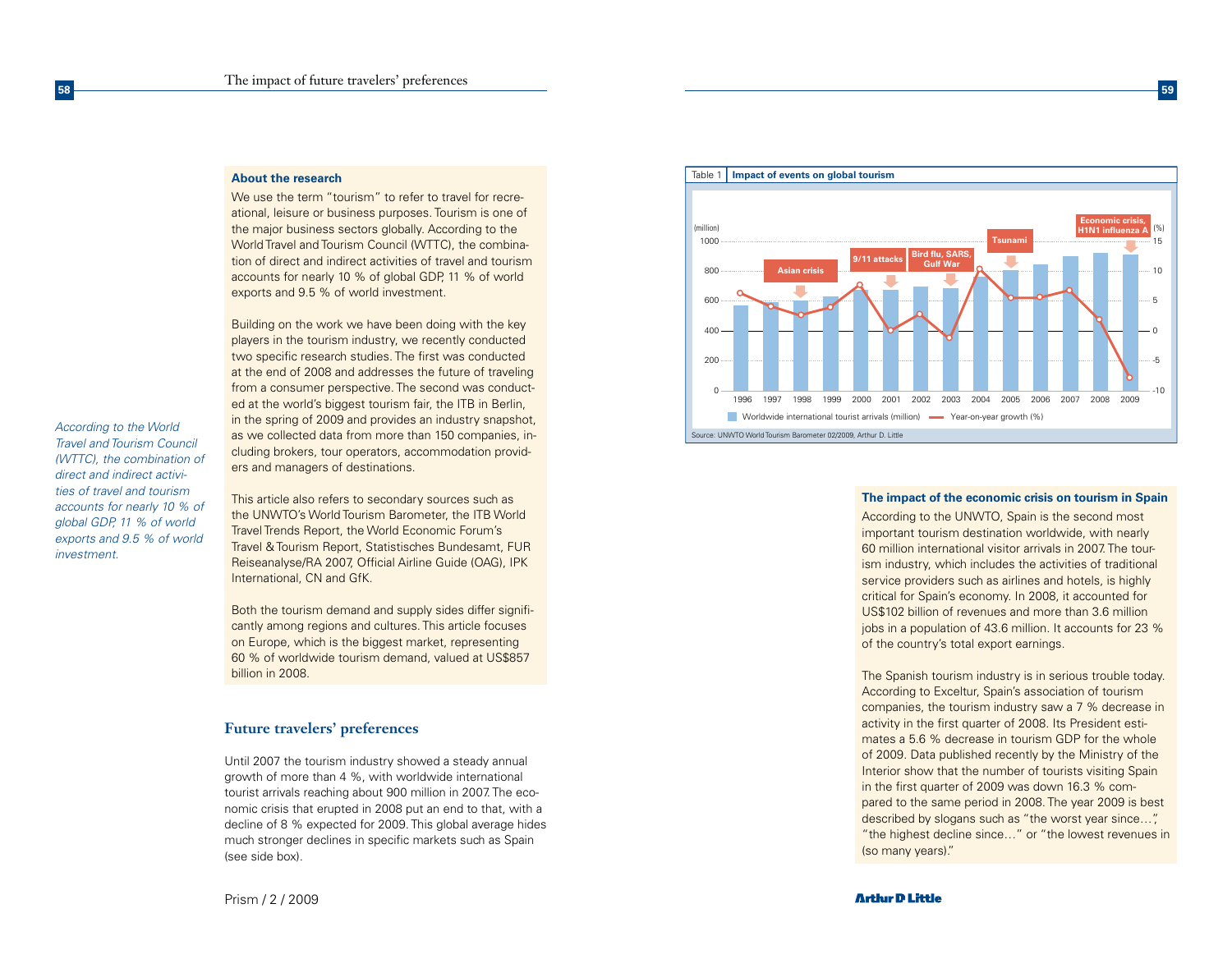#### **About the research**

**58**

*According to the World Travel and Tourism Council (WTTC), the combination of direct and indirect activities of travel and tourism accounts for nearly 10 % of global GDP, 11 % of world exports and 9.5 % of world* 

*investment.*

We use the term "tourism" to refer to travel for recreational, leisure or business purposes. Tourism is one of the major business sectors globally. According to the World Travel and Tourism Council (WTTC), the combination of direct and indirect activities of travel and tourism accounts for nearly 10 % of global GDP, 11 % of world exports and 9.5 % of world investment.

Building on the work we have been doing with the key players in the tourism industry, we recently conducted two specific research studies. The first was conducted at the end of 2008 and addresses the future of traveling from a consumer perspective. The second was conducted at the world's biggest tourism fair, the ITB in Berlin, in the spring of 2009 and provides an industry snapshot, as we collected data from more than 150 companies, including brokers, tour operators, accommodation providers and managers of destinations.

This article also refers to secondary sources such as the UNWTO's World Tourism Barometer, the ITB World Travel Trends Report, the World Economic Forum's Travel & Tourism Report, Statistisches Bundesamt, FUR Reiseanalyse/RA 2007, Official Airline Guide (OAG), IPK International, CN and GfK.

Both the tourism demand and supply sides differ significantly among regions and cultures. This article focuses on Europe, which is the biggest market, representing 60 % of worldwide tourism demand, valued at US\$857 billion in 2008.

# **Future travelers' preferences**

Until 2007 the tourism industry showed a steady annual growth of more than 4 %, with worldwide international tourist arrivals reaching about 900 million in 2007. The economic crisis that erupted in 2008 put an end to that, with a decline of 8 % expected for 2009. This global average hides much stronger declines in specific markets such as Spain (see side box).



#### **The impact of the economic crisis on tourism in Spain**

According to the UNWTO, Spain is the second most important tourism destination worldwide, with nearly 60 million international visitor arrivals in 2007. The tourism industry, which includes the activities of traditional service providers such as airlines and hotels, is highly critical for Spain's economy. In 2008, it accounted for US\$102 billion of revenues and more than 3.6 million jobs in a population of 43.6 million. It accounts for 23 % of the country's total export earnings.

The Spanish tourism industry is in serious trouble today. According to Exceltur, Spain's association of tourism companies, the tourism industry saw a 7 % decrease in activity in the first quarter of 2008. Its President estimates a 5.6 % decrease in tourism GDP for the whole of 2009. Data published recently by the Ministry of the Interior show that the number of tourists visiting Spain in the first quarter of 2009 was down 16.3 % compared to the same period in 2008. The year 2009 is best described by slogans such as "the worst year since…", "the highest decline since…" or "the lowest revenues in (so many years)."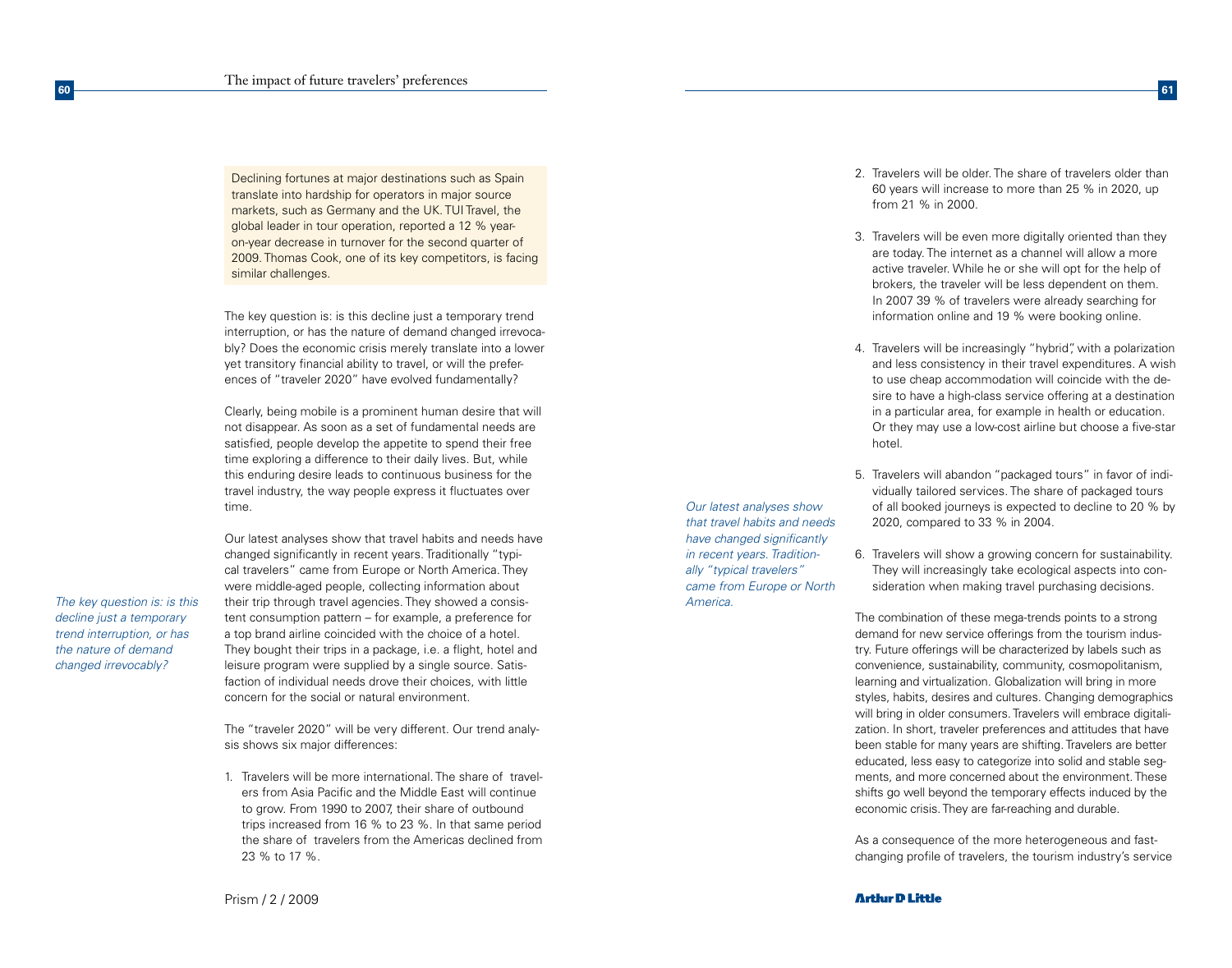Declining fortunes at major destinations such as Spain translate into hardship for operators in major source markets, such as Germany and the UK. TUI Travel, the global leader in tour operation, reported a 12 % yearon-year decrease in turnover for the second quarter of 2009. Thomas Cook, one of its key competitors, is facing similar challenges.

The key question is: is this decline just a temporary trend interruption, or has the nature of demand changed irrevocably? Does the economic crisis merely translate into a lower yet transitory financial ability to travel, or will the preferences of "traveler 2020" have evolved fundamentally?

Clearly, being mobile is a prominent human desire that will not disappear. As soon as a set of fundamental needs are satisfied, people develop the appetite to spend their free time exploring a difference to their daily lives. But, while this enduring desire leads to continuous business for the travel industry, the way people express it fluctuates over time.

*decline just a temporary trend interruption, or has the nature of demand changed irrevocably?*

**60**

Our latest analyses show that travel habits and needs have changed significantly in recent years. Traditionally "typical travelers" came from Europe or North America. They were middle-aged people, collecting information about The key question is: is this their trip through travel agencies. They showed a consis- The key question is: is this america. tent consumption pattern – for example, a preference for a top brand airline coincided with the choice of a hotel. They bought their trips in a package, i.e. a flight, hotel and leisure program were supplied by a single source. Satisfaction of individual needs drove their choices, with little concern for the social or natural environment.

> The "traveler 2020" will be very different. Our trend analysis shows six major differences:

1. Travelers will be more international. The share of travelers from Asia Pacific and the Middle East will continue to grow. From 1990 to 2007, their share of outbound trips increased from 16 % to 23 %. In that same period the share of travelers from the Americas declined from 23 % to 17 %.

Prism / 2 / 2009

*Our latest analyses show that travel habits and needs have changed significantly in recent years. Traditionally "typical travelers" came from Europe or North* 

2. Travelers will be older. The share of travelers older than 60 years will increase to more than 25 % in 2020, up from 21 % in 2000.

**61**

- 3. Travelers will be even more digitally oriented than they are today. The internet as a channel will allow a more active traveler. While he or she will opt for the help of brokers, the traveler will be less dependent on them. In 2007 39 % of travelers were already searching for information online and 19 % were booking online.
- 4. Travelers will be increasingly "hybrid", with a polarization and less consistency in their travel expenditures. A wish to use cheap accommodation will coincide with the desire to have a high-class service offering at a destination in a particular area, for example in health or education. Or they may use a low-cost airline but choose a five-star hotel.
- 5. Travelers will abandon "packaged tours" in favor of individually tailored services. The share of packaged tours of all booked journeys is expected to decline to 20 % by 2020, compared to 33 % in 2004.
- 6. Travelers will show a growing concern for sustainability. They will increasingly take ecological aspects into consideration when making travel purchasing decisions.

The combination of these mega-trends points to a strong demand for new service offerings from the tourism industry. Future offerings will be characterized by labels such as convenience, sustainability, community, cosmopolitanism, learning and virtualization. Globalization will bring in more styles, habits, desires and cultures. Changing demographics will bring in older consumers. Travelers will embrace digitalization. In short, traveler preferences and attitudes that have been stable for many years are shifting. Travelers are better educated, less easy to categorize into solid and stable segments, and more concerned about the environment. These shifts go well beyond the temporary effects induced by the economic crisis. They are far-reaching and durable.

As a consequence of the more heterogeneous and fastchanging profile of travelers, the tourism industry's service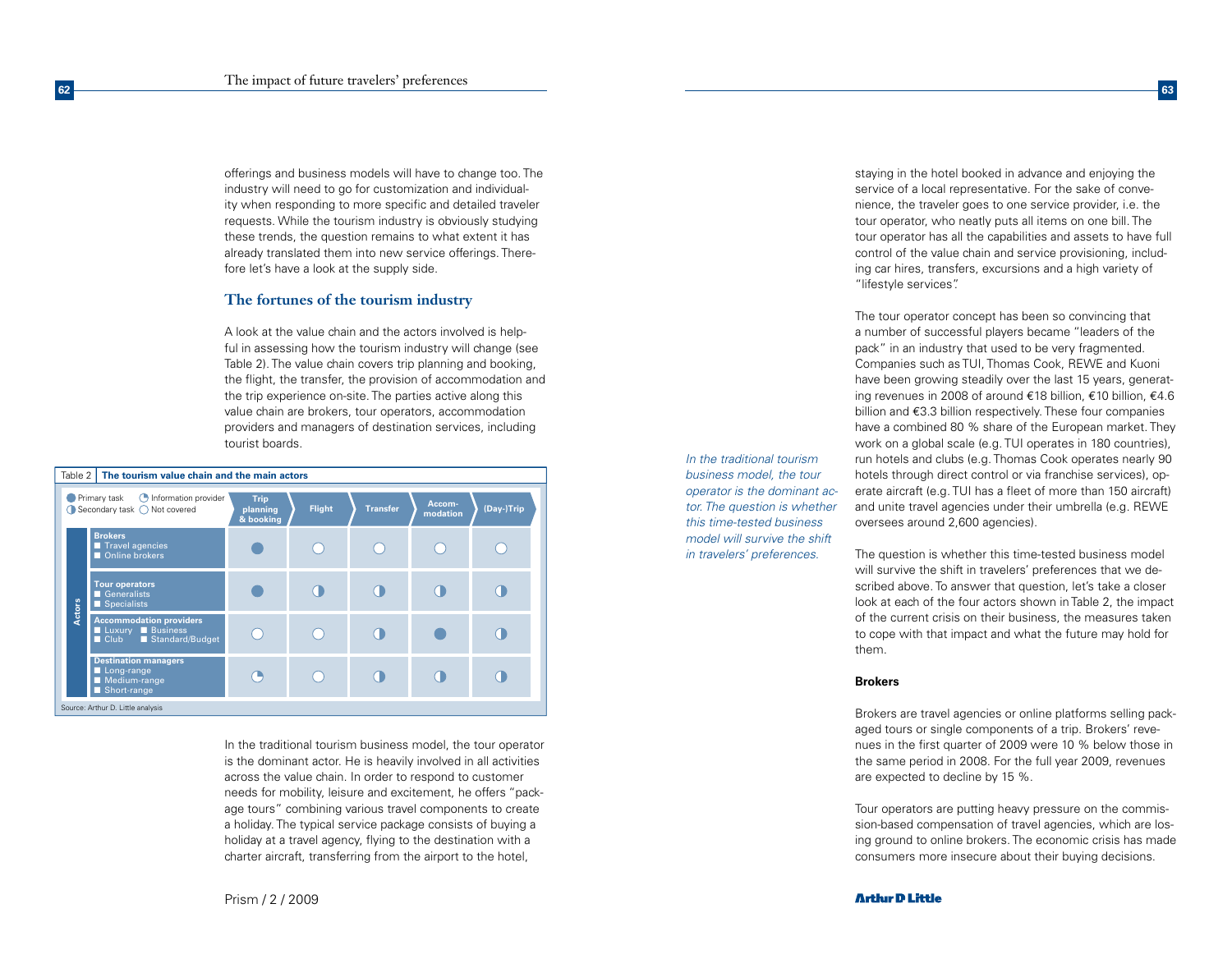**62**

offerings and business models will have to change too. The industry will need to go for customization and individuality when responding to more specific and detailed traveler requests. While the tourism industry is obviously studying these trends, the question remains to what extent it has already translated them into new service offerings. Therefore let's have a look at the supply side.

# **The fortunes of the tourism industry**

A look at the value chain and the actors involved is helpful in assessing how the tourism industry will change (see Table 2). The value chain covers trip planning and booking, the flight, the transfer, the provision of accommodation and the trip experience on-site. The parties active along this value chain are brokers, tour operators, accommodation providers and managers of destination services, including tourist boards.

| The tourism value chain and the main actors<br>Table 2                        |                                                                                             |                                      |               |                 |                    |            |
|-------------------------------------------------------------------------------|---------------------------------------------------------------------------------------------|--------------------------------------|---------------|-----------------|--------------------|------------|
| <b>Information provider</b><br>Primary task<br>◯ Secondary task ◯ Not covered |                                                                                             | <b>Trip</b><br>planning<br>& booking | <b>Flight</b> | <b>Transfer</b> | Accom-<br>modation | (Day-)Trip |
|                                                                               | <b>Brokers</b><br>Travel agencies<br>Online brokers                                         |                                      |               |                 |                    |            |
| Actors                                                                        | <b>Tour operators</b><br>Generalists<br>$\blacksquare$ Specialists                          |                                      |               |                 |                    |            |
|                                                                               | <b>Accommodation providers</b><br>Luxury Business<br>Standard/Budget<br>$\blacksquare$ Club |                                      |               |                 |                    |            |
|                                                                               | <b>Destination managers</b><br>Long-range<br>Medium-range<br>Short-range                    |                                      |               |                 |                    |            |
| Source: Arthur D. Little analysis                                             |                                                                                             |                                      |               |                 |                    |            |

In the traditional tourism business model, the tour operator is the dominant actor. He is heavily involved in all activities across the value chain. In order to respond to customer needs for mobility, leisure and excitement, he offers "package tours" combining various travel components to create a holiday. The typical service package consists of buying a holiday at a travel agency, flying to the destination with a charter aircraft, transferring from the airport to the hotel,

*In the traditional tourism business model, the tour operator is the dominant actor. The question is whether this time-tested business model will survive the shift in travelers' preferences.*

staying in the hotel booked in advance and enjoying the service of a local representative. For the sake of convenience, the traveler goes to one service provider, i.e. the tour operator, who neatly puts all items on one bill. The tour operator has all the capabilities and assets to have full control of the value chain and service provisioning, including car hires, transfers, excursions and a high variety of "lifestyle services".

**63**

The tour operator concept has been so convincing that a number of successful players became "leaders of the pack" in an industry that used to be very fragmented. Companies such as TUI, Thomas Cook, REWE and Kuoni have been growing steadily over the last 15 years, generating revenues in 2008 of around €18 billion, €10 billion, €4.6 billion and €3.3 billion respectively. These four companies have a combined 80 % share of the European market. They work on a global scale (e.g. TUI operates in 180 countries), run hotels and clubs (e.g. Thomas Cook operates nearly 90 hotels through direct control or via franchise services), operate aircraft (e.g. TUI has a fleet of more than 150 aircraft) and unite travel agencies under their umbrella (e.g. REWE oversees around 2,600 agencies).

The question is whether this time-tested business model will survive the shift in travelers' preferences that we described above. To answer that question, let's take a closer look at each of the four actors shown in Table 2, the impact of the current crisis on their business, the measures taken to cope with that impact and what the future may hold for them.

## **Brokers**

Brokers are travel agencies or online platforms selling packaged tours or single components of a trip. Brokers' revenues in the first quarter of 2009 were 10 % below those in the same period in 2008. For the full year 2009, revenues are expected to decline by 15 %.

Tour operators are putting heavy pressure on the commission-based compensation of travel agencies, which are losing ground to online brokers. The economic crisis has made consumers more insecure about their buying decisions.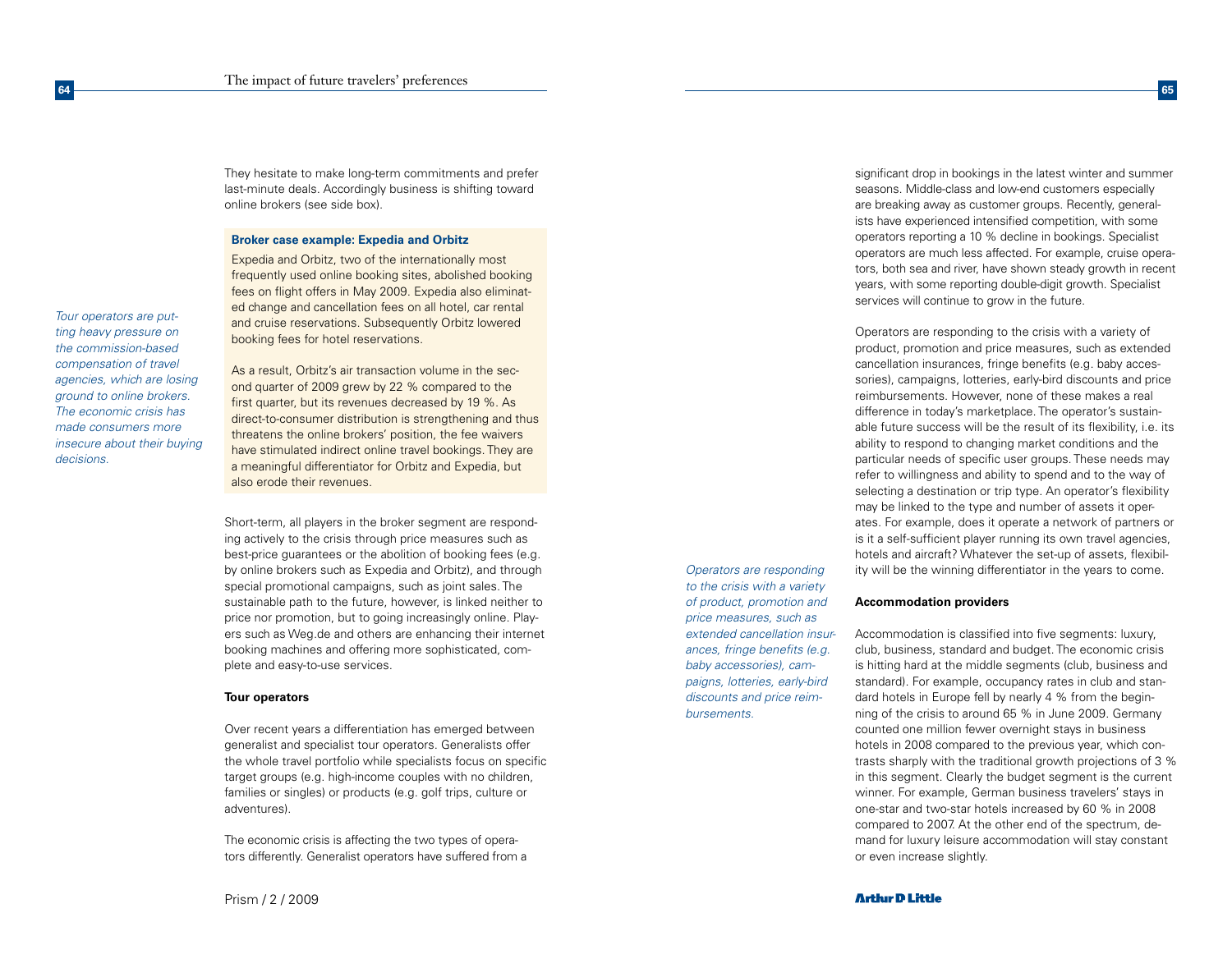They hesitate to make long-term commitments and prefer last-minute deals. Accordingly business is shifting toward online brokers (see side box).

## **Broker case example: Expedia and Orbitz**

Expedia and Orbitz, two of the internationally most frequently used online booking sites, abolished booking fees on flight offers in May 2009. Expedia also eliminated change and cancellation fees on all hotel, car rental and cruise reservations. Subsequently Orbitz lowered booking fees for hotel reservations.

*ting heavy pressure on the commission-based compensation of travel agencies, which are losing ground to online brokers. The economic crisis has made consumers more insecure about their buying decisions.*

*Tour operators are put-*

**64**

As a result, Orbitz's air transaction volume in the second quarter of 2009 grew by 22 % compared to the first quarter, but its revenues decreased by 19 %. As direct-to-consumer distribution is strengthening and thus threatens the online brokers' position, the fee waivers have stimulated indirect online travel bookings. They are a meaningful differentiator for Orbitz and Expedia, but also erode their revenues.

Short-term, all players in the broker segment are responding actively to the crisis through price measures such as best-price guarantees or the abolition of booking fees (e.g. by online brokers such as Expedia and Orbitz), and through special promotional campaigns, such as joint sales. The sustainable path to the future, however, is linked neither to price nor promotion, but to going increasingly online. Players such as Weg.de and others are enhancing their internet booking machines and offering more sophisticated, complete and easy-to-use services.

#### **Tour operators**

Over recent years a differentiation has emerged between generalist and specialist tour operators. Generalists offer the whole travel portfolio while specialists focus on specific target groups (e.g. high-income couples with no children, families or singles) or products (e.g. golf trips, culture or adventures).

The economic crisis is affecting the two types of operators differently. Generalist operators have suffered from a

*Operators are responding to the crisis with a variety of product, promotion and price measures, such as extended cancellation insurances, fringe benefits (e.g. baby accessories), campaigns, lotteries, early-bird discounts and price reimbursements.*

significant drop in bookings in the latest winter and summer seasons. Middle-class and low-end customers especially are breaking away as customer groups. Recently, generalists have experienced intensified competition, with some operators reporting a 10 % decline in bookings. Specialist operators are much less affected. For example, cruise operators, both sea and river, have shown steady growth in recent years, with some reporting double-digit growth. Specialist services will continue to grow in the future.

**65**

Operators are responding to the crisis with a variety of product, promotion and price measures, such as extended cancellation insurances, fringe benefits (e.g. baby accessories), campaigns, lotteries, early-bird discounts and price reimbursements. However, none of these makes a real difference in today's marketplace. The operator's sustainable future success will be the result of its flexibility, i.e. its ability to respond to changing market conditions and the particular needs of specific user groups. These needs may refer to willingness and ability to spend and to the way of selecting a destination or trip type. An operator's flexibility may be linked to the type and number of assets it operates. For example, does it operate a network of partners or is it a self-sufficient player running its own travel agencies, hotels and aircraft? Whatever the set-up of assets, flexibility will be the winning differentiator in the years to come.

#### **Accommodation providers**

Accommodation is classified into five segments: luxury, club, business, standard and budget. The economic crisis is hitting hard at the middle segments (club, business and standard). For example, occupancy rates in club and standard hotels in Europe fell by nearly 4 % from the beginning of the crisis to around 65 % in June 2009. Germany counted one million fewer overnight stays in business hotels in 2008 compared to the previous year, which contrasts sharply with the traditional growth projections of 3 % in this segment. Clearly the budget segment is the current winner. For example, German business travelers' stays in one-star and two-star hotels increased by 60 % in 2008 compared to 2007. At the other end of the spectrum, demand for luxury leisure accommodation will stay constant or even increase slightly.

Prism / 2 / 2009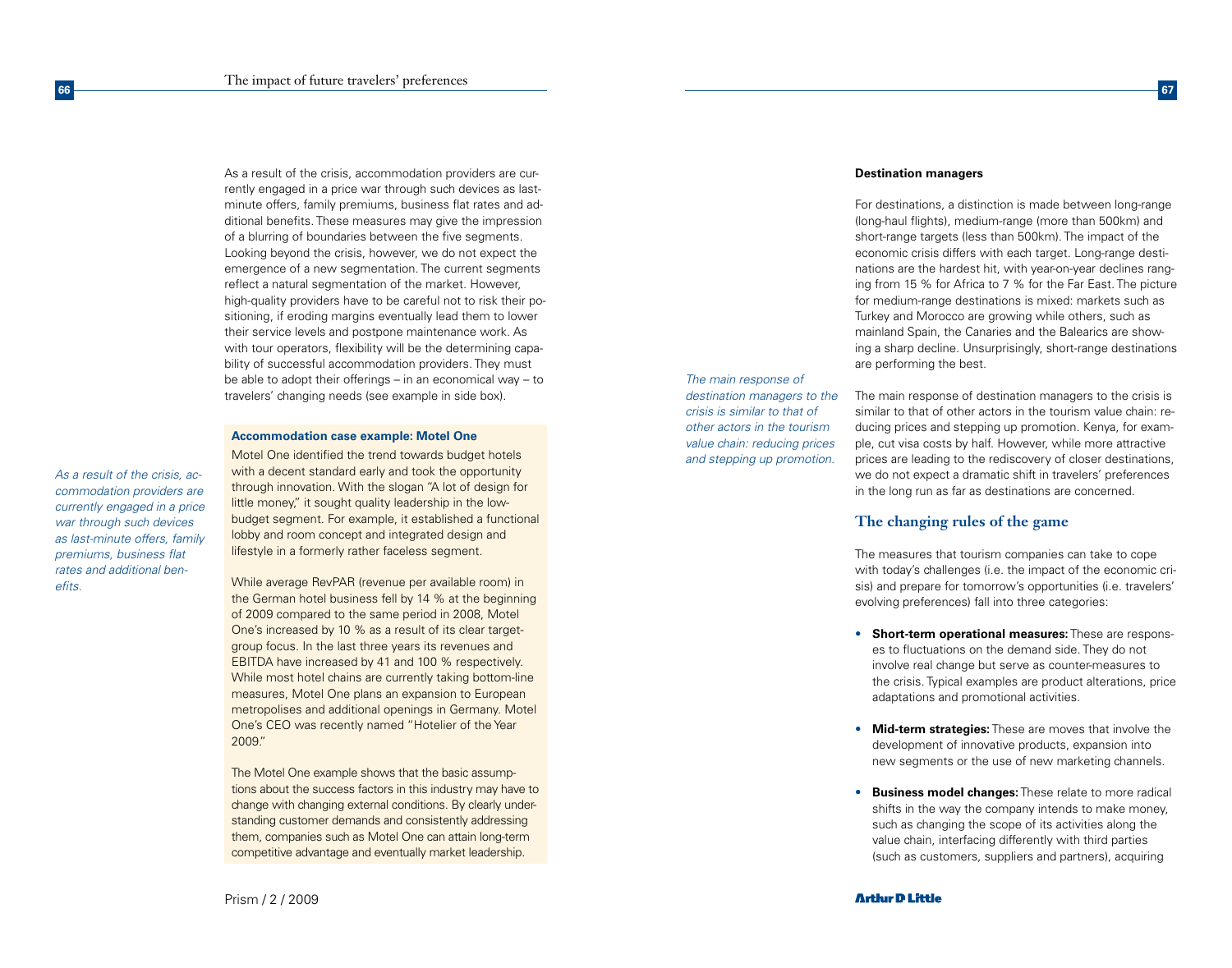As a result of the crisis, accommodation providers are currently engaged in a price war through such devices as lastminute offers, family premiums, business flat rates and additional benefits. These measures may give the impression of a blurring of boundaries between the five segments. Looking beyond the crisis, however, we do not expect the emergence of a new segmentation. The current segments reflect a natural segmentation of the market. However, high-quality providers have to be careful not to risk their positioning, if eroding margins eventually lead them to lower their service levels and postpone maintenance work. As with tour operators, flexibility will be the determining capability of successful accommodation providers. They must be able to adopt their offerings – in an economical way – to travelers' changing needs (see example in side box).

## **Accommodation case example: Motel One**

*As a result of the crisis, accommodation providers are currently engaged in a price war through such devices as last-minute offers, family premiums, business flat rates and additional benefits.*

**66**

Motel One identified the trend towards budget hotels with a decent standard early and took the opportunity through innovation. With the slogan "A lot of design for little money," it sought quality leadership in the lowbudget segment. For example, it established a functional lobby and room concept and integrated design and lifestyle in a formerly rather faceless segment.

While average RevPAR (revenue per available room) in the German hotel business fell by 14 % at the beginning of 2009 compared to the same period in 2008, Motel One's increased by 10 % as a result of its clear targetgroup focus. In the last three years its revenues and EBITDA have increased by 41 and 100 % respectively. While most hotel chains are currently taking bottom-line measures, Motel One plans an expansion to European metropolises and additional openings in Germany. Motel One's CEO was recently named "Hotelier of the Year 2009."

The Motel One example shows that the basic assumptions about the success factors in this industry may have to change with changing external conditions. By clearly understanding customer demands and consistently addressing them, companies such as Motel One can attain long-term competitive advantage and eventually market leadership.

*The main response of destination managers to the crisis is similar to that of other actors in the tourism value chain: reducing prices and stepping up promotion.*

#### **Destination managers**

For destinations, a distinction is made between long-range (long-haul flights), medium-range (more than 500km) and short-range targets (less than 500km). The impact of the economic crisis differs with each target. Long-range destinations are the hardest hit, with year-on-year declines ranging from 15 % for Africa to 7 % for the Far East. The picture for medium-range destinations is mixed: markets such as Turkey and Morocco are growing while others, such as mainland Spain, the Canaries and the Balearics are showing a sharp decline. Unsurprisingly, short-range destinations are performing the best.

**67**

The main response of destination managers to the crisis is similar to that of other actors in the tourism value chain: reducing prices and stepping up promotion. Kenya, for example, cut visa costs by half. However, while more attractive prices are leading to the rediscovery of closer destinations, we do not expect a dramatic shift in travelers' preferences in the long run as far as destinations are concerned.

# **The changing rules of the game**

The measures that tourism companies can take to cope with today's challenges (i.e. the impact of the economic crisis) and prepare for tomorrow's opportunities (i.e. travelers' evolving preferences) fall into three categories:

- • **Short-term operational measures:** These are responses to fluctuations on the demand side. They do not involve real change but serve as counter-measures to the crisis. Typical examples are product alterations, price adaptations and promotional activities.
- • **Mid-term strategies:** These are moves that involve the development of innovative products, expansion into new segments or the use of new marketing channels.
- **Business model changes:** These relate to more radical shifts in the way the company intends to make money, such as changing the scope of its activities along the value chain, interfacing differently with third parties (such as customers, suppliers and partners), acquiring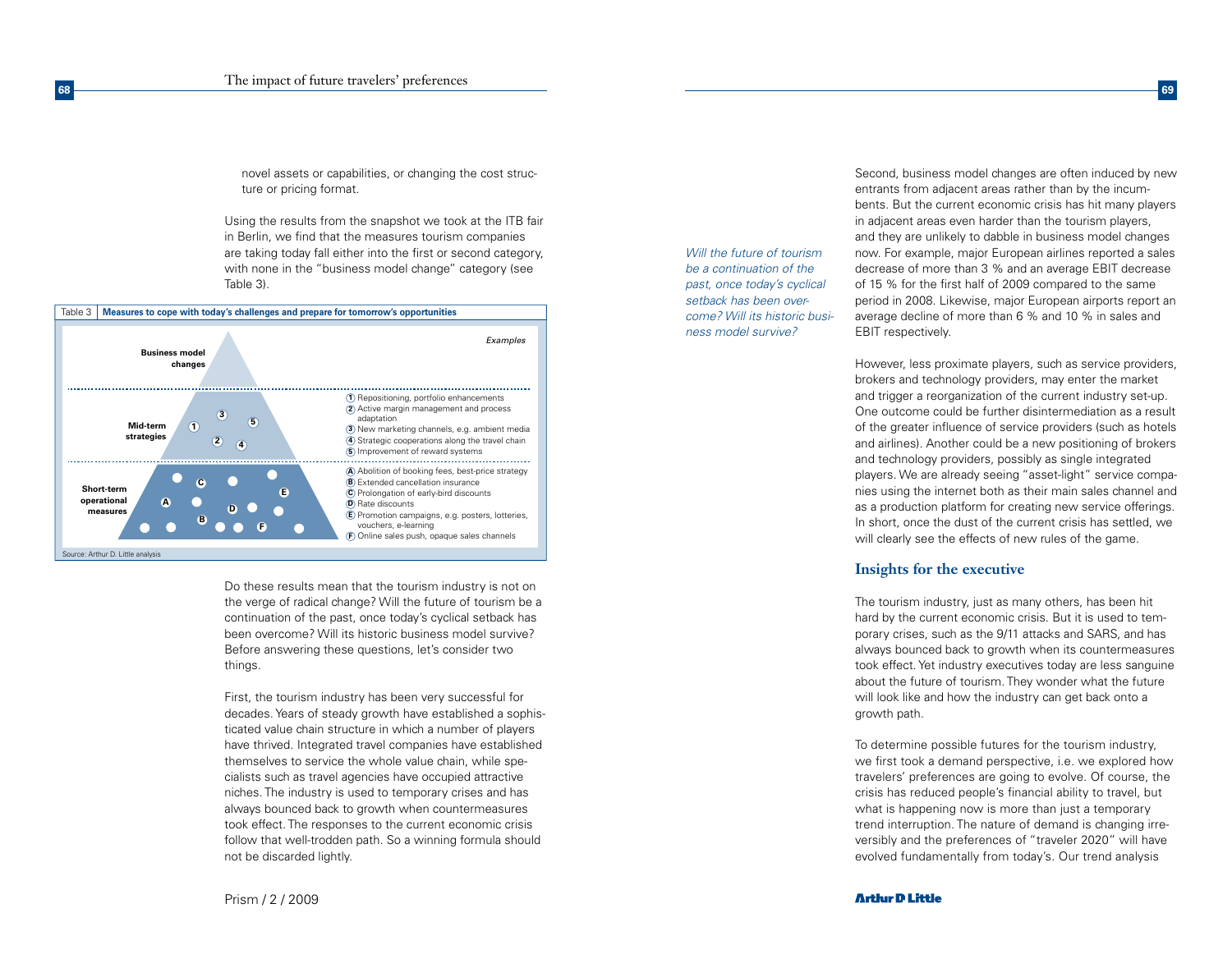**68**

novel assets or capabilities, or changing the cost structure or pricing format.

Using the results from the snapshot we took at the ITB fair in Berlin, we find that the measures tourism companies are taking today fall either into the first or second category, with none in the "business model change" category (see Table 3).



Do these results mean that the tourism industry is not on the verge of radical change? Will the future of tourism be a continuation of the past, once today's cyclical setback has been overcome? Will its historic business model survive? Before answering these questions, let's consider two things.

First, the tourism industry has been very successful for decades. Years of steady growth have established a sophisticated value chain structure in which a number of players have thrived. Integrated travel companies have established themselves to service the whole value chain, while specialists such as travel agencies have occupied attractive niches. The industry is used to temporary crises and has always bounced back to growth when countermeasures took effect. The responses to the current economic crisis follow that well-trodden path. So a winning formula should not be discarded lightly.

*Will the future of tourism be a continuation of the past, once today's cyclical setback has been overcome? Will its historic business model survive?*

Second, business model changes are often induced by new entrants from adjacent areas rather than by the incumbents. But the current economic crisis has hit many players in adjacent areas even harder than the tourism players, and they are unlikely to dabble in business model changes now. For example, major European airlines reported a sales decrease of more than 3 % and an average EBIT decrease of 15 % for the first half of 2009 compared to the same period in 2008. Likewise, major European airports report an average decline of more than 6 % and 10 % in sales and EBIT respectively.

**69**

However, less proximate players, such as service providers, brokers and technology providers, may enter the market and trigger a reorganization of the current industry set-up. One outcome could be further disintermediation as a result of the greater influence of service providers (such as hotels and airlines). Another could be a new positioning of brokers and technology providers, possibly as single integrated players. We are already seeing "asset-light" service companies using the internet both as their main sales channel and as a production platform for creating new service offerings. In short, once the dust of the current crisis has settled, we will clearly see the effects of new rules of the game.

# **Insights for the executive**

The tourism industry, just as many others, has been hit hard by the current economic crisis. But it is used to temporary crises, such as the 9/11 attacks and SARS, and has always bounced back to growth when its countermeasures took effect. Yet industry executives today are less sanguine about the future of tourism. They wonder what the future will look like and how the industry can get back onto a growth path.

To determine possible futures for the tourism industry, we first took a demand perspective, i.e. we explored how travelers' preferences are going to evolve. Of course, the crisis has reduced people's financial ability to travel, but what is happening now is more than just a temporary trend interruption. The nature of demand is changing irreversibly and the preferences of "traveler 2020" will have evolved fundamentally from today's. Our trend analysis